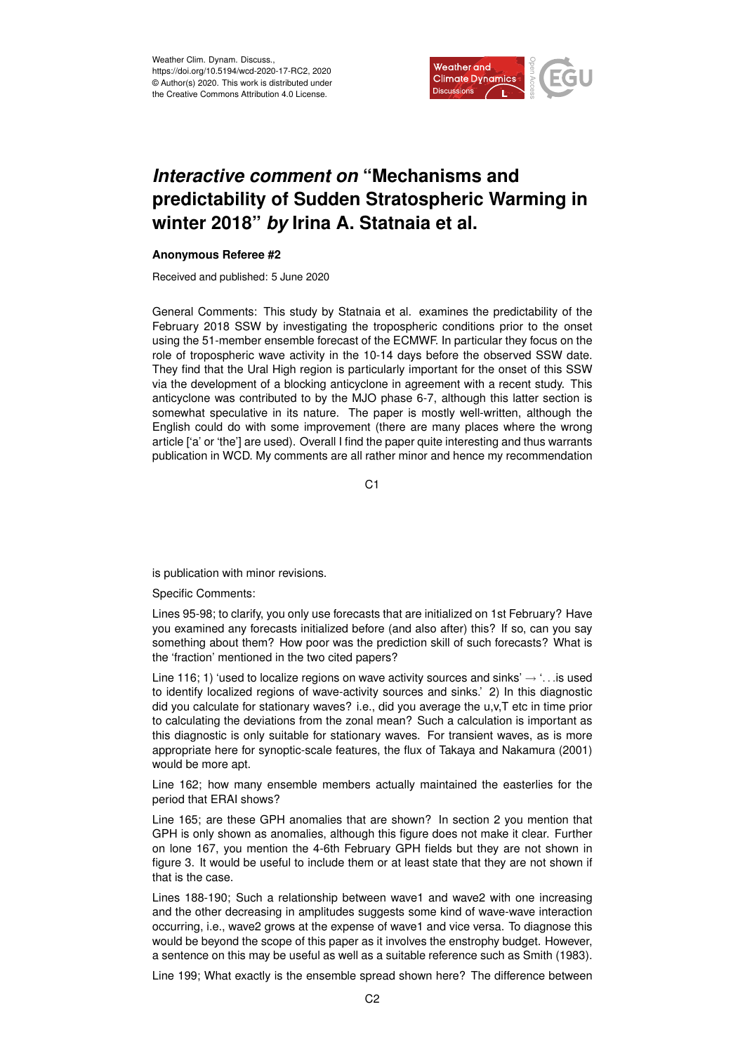

## *Interactive comment on* **"Mechanisms and predictability of Sudden Stratospheric Warming in winter 2018"** *by* **Irina A. Statnaia et al.**

## **Anonymous Referee #2**

Received and published: 5 June 2020

General Comments: This study by Statnaia et al. examines the predictability of the February 2018 SSW by investigating the tropospheric conditions prior to the onset using the 51-member ensemble forecast of the ECMWF. In particular they focus on the role of tropospheric wave activity in the 10-14 days before the observed SSW date. They find that the Ural High region is particularly important for the onset of this SSW via the development of a blocking anticyclone in agreement with a recent study. This anticyclone was contributed to by the MJO phase 6-7, although this latter section is somewhat speculative in its nature. The paper is mostly well-written, although the English could do with some improvement (there are many places where the wrong article ['a' or 'the'] are used). Overall I find the paper quite interesting and thus warrants publication in WCD. My comments are all rather minor and hence my recommendation

 $C<sub>1</sub>$ 

is publication with minor revisions.

Specific Comments:

Lines 95-98; to clarify, you only use forecasts that are initialized on 1st February? Have you examined any forecasts initialized before (and also after) this? If so, can you say something about them? How poor was the prediction skill of such forecasts? What is the 'fraction' mentioned in the two cited papers?

Line 116; 1) 'used to localize regions on wave activity sources and sinks'  $\rightarrow$  '... is used to identify localized regions of wave-activity sources and sinks.' 2) In this diagnostic did you calculate for stationary waves? i.e., did you average the u,v,T etc in time prior to calculating the deviations from the zonal mean? Such a calculation is important as this diagnostic is only suitable for stationary waves. For transient waves, as is more appropriate here for synoptic-scale features, the flux of Takaya and Nakamura (2001) would be more apt.

Line 162; how many ensemble members actually maintained the easterlies for the period that ERAI shows?

Line 165; are these GPH anomalies that are shown? In section 2 you mention that GPH is only shown as anomalies, although this figure does not make it clear. Further on lone 167, you mention the 4-6th February GPH fields but they are not shown in figure 3. It would be useful to include them or at least state that they are not shown if that is the case.

Lines 188-190; Such a relationship between wave1 and wave2 with one increasing and the other decreasing in amplitudes suggests some kind of wave-wave interaction occurring, i.e., wave2 grows at the expense of wave1 and vice versa. To diagnose this would be beyond the scope of this paper as it involves the enstrophy budget. However, a sentence on this may be useful as well as a suitable reference such as Smith (1983).

Line 199; What exactly is the ensemble spread shown here? The difference between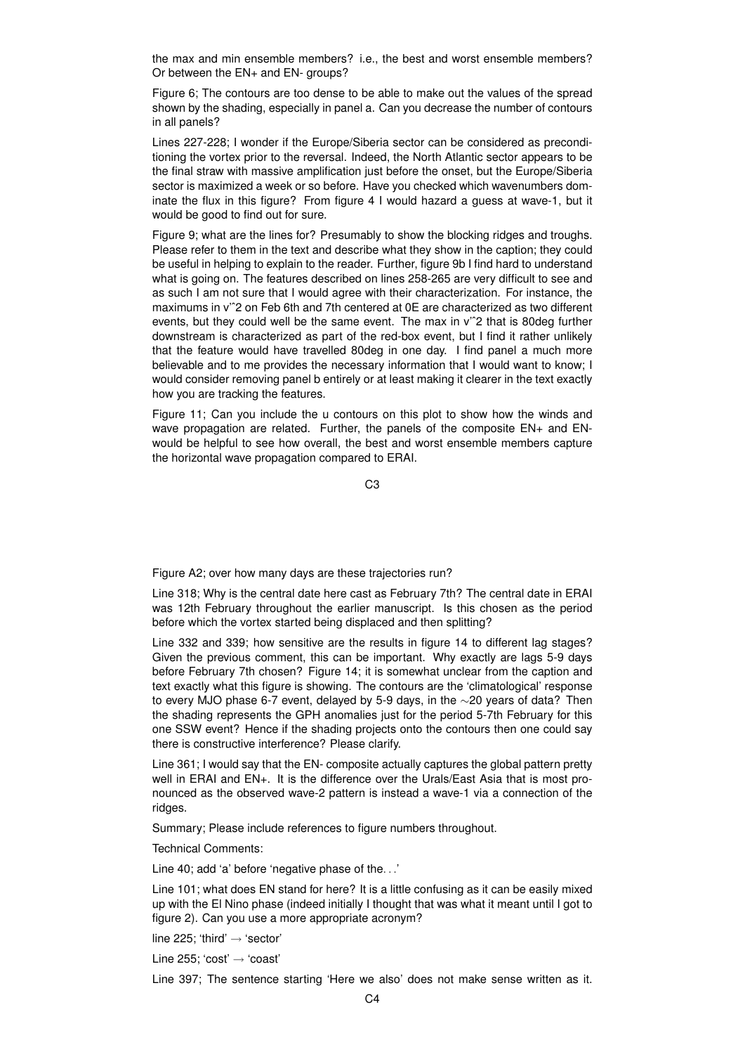the max and min ensemble members? i.e., the best and worst ensemble members? Or between the EN+ and EN- groups?

Figure 6; The contours are too dense to be able to make out the values of the spread shown by the shading, especially in panel a. Can you decrease the number of contours in all panels?

Lines 227-228; I wonder if the Europe/Siberia sector can be considered as preconditioning the vortex prior to the reversal. Indeed, the North Atlantic sector appears to be the final straw with massive amplification just before the onset, but the Europe/Siberia sector is maximized a week or so before. Have you checked which wavenumbers dominate the flux in this figure? From figure 4 I would hazard a guess at wave-1, but it would be good to find out for sure.

Figure 9; what are the lines for? Presumably to show the blocking ridges and troughs. Please refer to them in the text and describe what they show in the caption; they could be useful in helping to explain to the reader. Further, figure 9b I find hard to understand what is going on. The features described on lines 258-265 are very difficult to see and as such I am not sure that I would agree with their characterization. For instance, the maximums in v<sup>2</sup>2 on Feb 6th and 7th centered at 0E are characterized as two different events, but they could well be the same event. The max in v'ˆ2 that is 80deg further downstream is characterized as part of the red-box event, but I find it rather unlikely that the feature would have travelled 80deg in one day. I find panel a much more believable and to me provides the necessary information that I would want to know; I would consider removing panel b entirely or at least making it clearer in the text exactly how you are tracking the features.

Figure 11; Can you include the u contours on this plot to show how the winds and wave propagation are related. Further, the panels of the composite EN+ and ENwould be helpful to see how overall, the best and worst ensemble members capture the horizontal wave propagation compared to ERAI.

C3

Figure A2; over how many days are these trajectories run?

Line 318; Why is the central date here cast as February 7th? The central date in ERAI was 12th February throughout the earlier manuscript. Is this chosen as the period before which the vortex started being displaced and then splitting?

Line 332 and 339; how sensitive are the results in figure 14 to different lag stages? Given the previous comment, this can be important. Why exactly are lags 5-9 days before February 7th chosen? Figure 14; it is somewhat unclear from the caption and text exactly what this figure is showing. The contours are the 'climatological' response to every MJO phase 6-7 event, delayed by 5-9 days, in the ∼20 years of data? Then the shading represents the GPH anomalies just for the period 5-7th February for this one SSW event? Hence if the shading projects onto the contours then one could say there is constructive interference? Please clarify.

Line 361; I would say that the EN- composite actually captures the global pattern pretty well in ERAI and EN+. It is the difference over the Urals/East Asia that is most pronounced as the observed wave-2 pattern is instead a wave-1 via a connection of the ridges.

Summary; Please include references to figure numbers throughout.

Technical Comments:

Line 40; add 'a' before 'negative phase of the. . .'

Line 101; what does EN stand for here? It is a little confusing as it can be easily mixed up with the El Nino phase (indeed initially I thought that was what it meant until I got to figure 2). Can you use a more appropriate acronym?

line 225; 'third'  $\rightarrow$  'sector'

Line 255; 'cost' → 'coast'

Line 397; The sentence starting 'Here we also' does not make sense written as it.